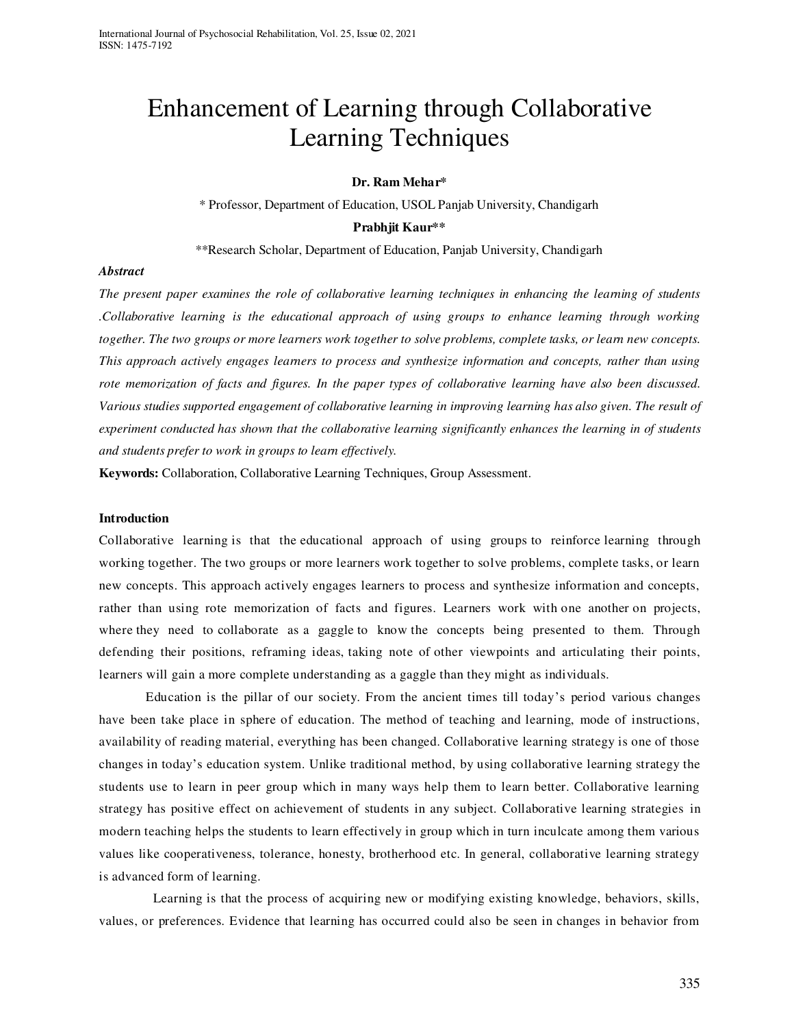# Enhancement of Learning through Collaborative Learning Techniques

# **Dr. Ram Mehar\***

\* Professor, Department of Education, USOL Panjab University, Chandigarh

# **Prabhjit Kaur\*\***

\*\*Research Scholar, Department of Education, Panjab University, Chandigarh

#### *Abstract*

*The present paper examines the role of collaborative learning techniques in enhancing the learning of students .Collaborative learning is the educational approach of using groups to enhance learning through working together. The two groups or more learners work together to solve problems, complete tasks, or learn new concepts. This approach actively engages learners to process and synthesize information and concepts, rather than using rote memorization of facts and figures. In the paper types of collaborative learning have also been discussed. Various studies supported engagement of collaborative learning in improving learning has also given. The result of experiment conducted has shown that the collaborative learning significantly enhances the learning in of students and students prefer to work in groups to learn effectively.* 

**Keywords:** Collaboration, Collaborative Learning Techniques, Group Assessment.

#### **Introduction**

Collaborative learning is that the educational approach of using groups to reinforce learning through working together. The two groups or more learners work together to solve problems, complete tasks, or learn new concepts. This approach actively engages learners to process and synthesize information and concepts, rather than using rote memorization of facts and figures. Learners work with one another on projects, where they need to collaborate as a gaggle to know the concepts being presented to them. Through defending their positions, reframing ideas, taking note of other viewpoints and articulating their points, learners will gain a more complete understanding as a gaggle than they might as individuals.

Education is the pillar of our society. From the ancient times till today's period various changes have been take place in sphere of education. The method of teaching and learning, mode of instructions, availability of reading material, everything has been changed. Collaborative learning strategy is one of those changes in today's education system. Unlike traditional method, by using collaborative learning strategy the students use to learn in peer group which in many ways help them to learn better. Collaborative learning strategy has positive effect on achievement of students in any subject. Collaborative learning strategies in modern teaching helps the students to learn effectively in group which in turn inculcate among them various values like cooperativeness, tolerance, honesty, brotherhood etc. In general, collaborative learning strategy is advanced form of learning.

 Learning is that the process of acquiring new or modifying existing knowledge, behaviors, skills, values, or preferences. Evidence that learning has occurred could also be seen in changes in behavior from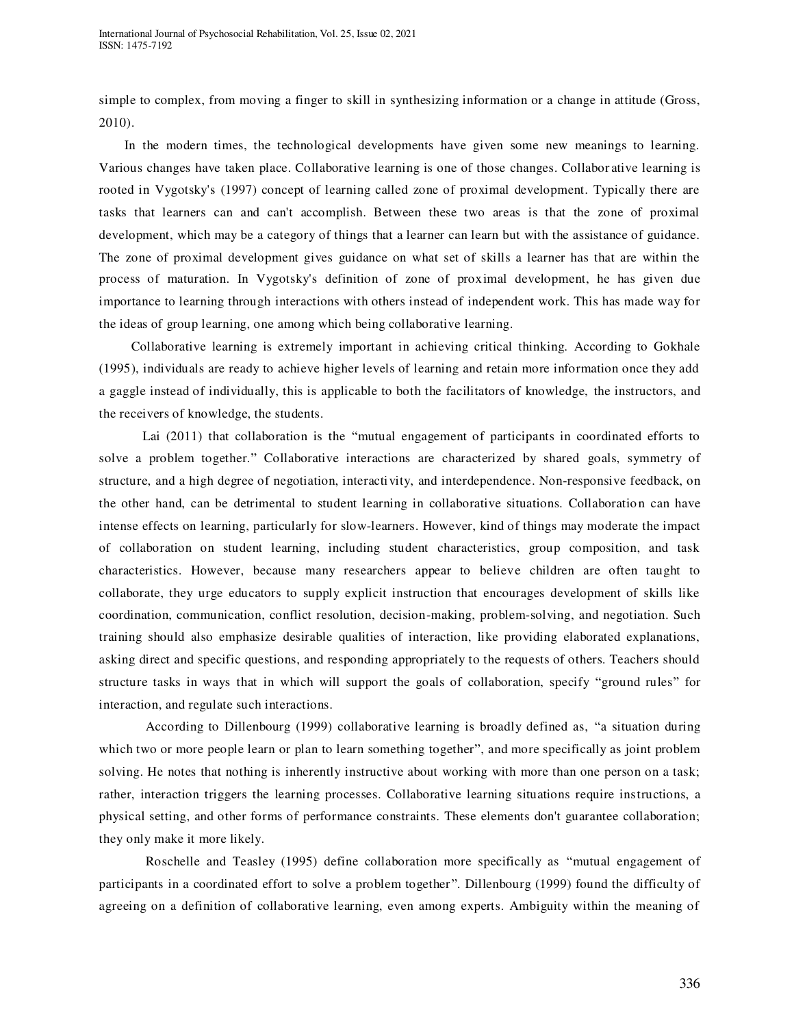simple to complex, from moving a finger to skill in synthesizing information or a change in attitude (Gross, 2010).

 In the modern times, the technological developments have given some new meanings to learning. Various changes have taken place. Collaborative learning is one of those changes. Collabor ative learning is rooted in Vygotsky's (1997) concept of learning called zone of proximal development. Typically there are tasks that learners can and can't accomplish. Between these two areas is that the zone of proximal development, which may be a category of things that a learner can learn but with the assistance of guidance. The zone of proximal development gives guidance on what set of skills a learner has that are within the process of maturation. In Vygotsky's definition of zone of proximal development, he has given due importance to learning through interactions with others instead of independent work. This has made way for the ideas of group learning, one among which being collaborative learning.

 Collaborative learning is extremely important in achieving critical thinking. According to Gokhale (1995), individuals are ready to achieve higher levels of learning and retain more information once they add a gaggle instead of individually, this is applicable to both the facilitators of knowledge, the instructors, and the receivers of knowledge, the students.

 Lai (2011) that collaboration is the "mutual engagement of participants in coordinated efforts to solve a problem together." Collaborative interactions are characterized by shared goals, symmetry of structure, and a high degree of negotiation, interactivity, and interdependence. Non-responsive feedback, on the other hand, can be detrimental to student learning in collaborative situations. Collaboration can have intense effects on learning, particularly for slow-learners. However, kind of things may moderate the impact of collaboration on student learning, including student characteristics, group composition, and task characteristics. However, because many researchers appear to believe children are often taught to collaborate, they urge educators to supply explicit instruction that encourages development of skills like coordination, communication, conflict resolution, decision-making, problem-solving, and negotiation. Such training should also emphasize desirable qualities of interaction, like providing elaborated explanations, asking direct and specific questions, and responding appropriately to the requests of others. Teachers should structure tasks in ways that in which will support the goals of collaboration, specify "ground rules" for interaction, and regulate such interactions.

According to Dillenbourg (1999) collaborative learning is broadly defined as, "a situation during which two or more people learn or plan to learn something together", and more specifically as joint problem solving. He notes that nothing is inherently instructive about working with more than one person on a task; rather, interaction triggers the learning processes. Collaborative learning situations require instructions, a physical setting, and other forms of performance constraints. These elements don't guarantee collaboration; they only make it more likely.

Roschelle and Teasley (1995) define collaboration more specifically as "mutual engagement of participants in a coordinated effort to solve a problem together". Dillenbourg (1999) found the difficulty of agreeing on a definition of collaborative learning, even among experts. Ambiguity within the meaning of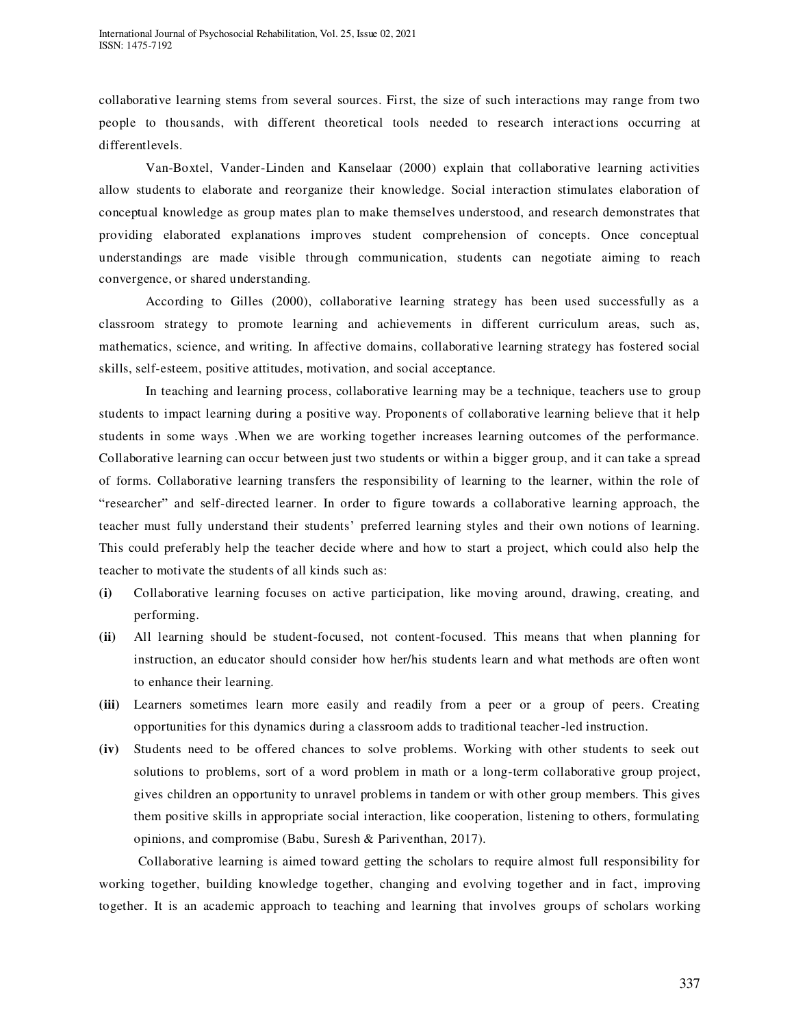collaborative learning stems from several sources. First, the size of such interactions may range from two people to thousands, with different theoretical tools needed to research interactions occurring at differentlevels.

Van-Boxtel, Vander-Linden and Kanselaar (2000) explain that collaborative learning activities allow students to elaborate and reorganize their knowledge. Social interaction stimulates elaboration of conceptual knowledge as group mates plan to make themselves understood, and research demonstrates that providing elaborated explanations improves student comprehension of concepts. Once conceptual understandings are made visible through communication, students can negotiate aiming to reach convergence, or shared understanding.

According to Gilles (2000), collaborative learning strategy has been used successfully as a classroom strategy to promote learning and achievements in different curriculum areas, such as, mathematics, science, and writing. In affective domains, collaborative learning strategy has fostered social skills, self-esteem, positive attitudes, motivation, and social acceptance.

In teaching and learning process, collaborative learning may be a technique, teachers use to group students to impact learning during a positive way. Proponents of collaborative learning believe that it help students in some ways .When we are working together increases learning outcomes of the performance. Collaborative learning can occur between just two students or within a bigger group, and it can take a spread of forms. Collaborative learning transfers the responsibility of learning to the learner, within the role of "researcher" and self-directed learner. In order to figure towards a collaborative learning approach, the teacher must fully understand their students' preferred learning styles and their own notions of learning. This could preferably help the teacher decide where and how to start a project, which could also help the teacher to motivate the students of all kinds such as:

- **(i)** Collaborative learning focuses on active participation, like moving around, drawing, creating, and performing.
- **(ii)** All learning should be student-focused, not content-focused. This means that when planning for instruction, an educator should consider how her/his students learn and what methods are often wont to enhance their learning.
- **(iii)** Learners sometimes learn more easily and readily from a peer or a group of peers. Creating opportunities for this dynamics during a classroom adds to traditional teacher -led instruction.
- **(iv)** Students need to be offered chances to solve problems. Working with other students to seek out solutions to problems, sort of a word problem in math or a long-term collaborative group project, gives children an opportunity to unravel problems in tandem or with other group members. This gives them positive skills in appropriate social interaction, like cooperation, listening to others, formulating opinions, and compromise (Babu, Suresh & Pariventhan, 2017).

 Collaborative learning is aimed toward getting the scholars to require almost full responsibility for working together, building knowledge together, changing and evolving together and in fact, improving together. It is an academic approach to teaching and learning that involves groups of scholars working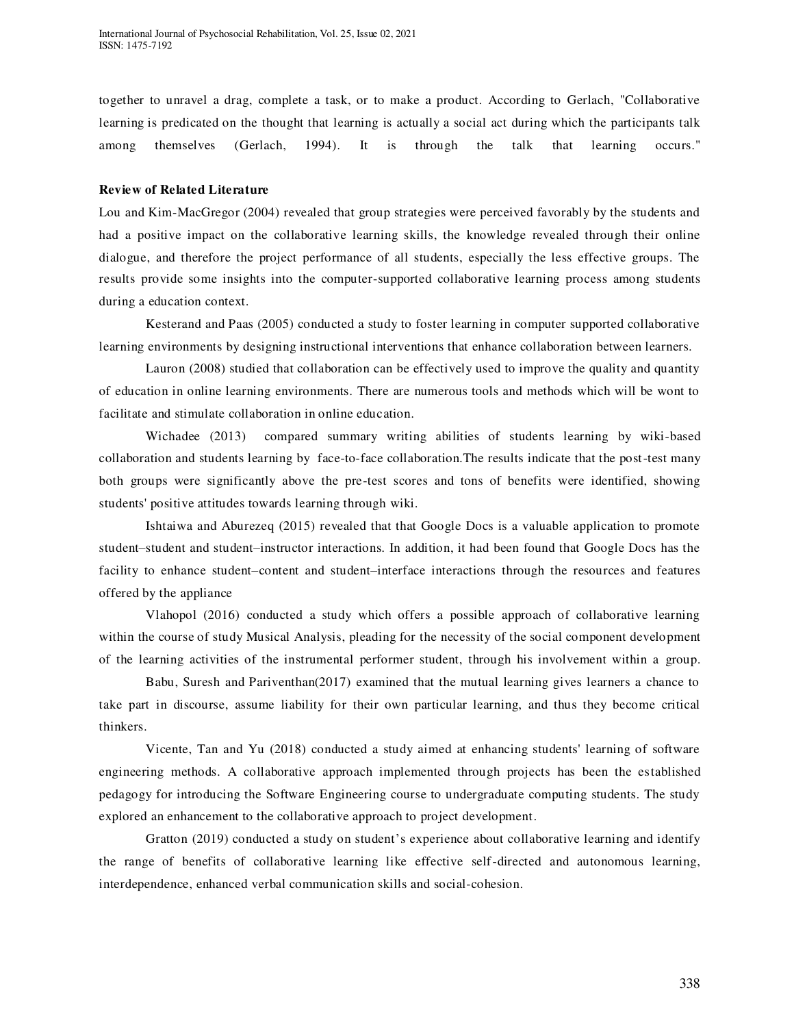together to unravel a drag, complete a task, or to make a product. According to Gerlach, "Collaborative learning is predicated on the thought that learning is actually a social act during which the participants talk among themselves (Gerlach, 1994). It is through the talk that learning occurs."

### **Review of Related Literature**

Lou and Kim-MacGregor (2004) revealed that group strategies were perceived favorably by the students and had a positive impact on the collaborative learning skills, the knowledge revealed through their online dialogue, and therefore the project performance of all students, especially the less effective groups. The results provide some insights into the computer-supported collaborative learning process among students during a education context.

Kesterand and Paas (2005) conducted a study to foster learning in computer supported collaborative learning environments by designing instructional interventions that enhance collaboration between learners.

Lauron (2008) studied that collaboration can be effectively used to improve the quality and quantity of education in online learning environments. There are numerous tools and methods which will be wont to facilitate and stimulate collaboration in online education.

Wichadee (2013) compared summary writing abilities of students learning by wiki-based collaboration and students learning by face-to-face collaboration.The results indicate that the post-test many both groups were significantly above the pre-test scores and tons of benefits were identified, showing students' positive attitudes towards learning through wiki.

Ishtaiwa and Aburezeq (2015) revealed that that Google Docs is a valuable application to promote student–student and student–instructor interactions. In addition, it had been found that Google Docs has the facility to enhance student–content and student–interface interactions through the resources and features offered by the appliance

Vlahopol (2016) conducted a study which offers a possible approach of collaborative learning within the course of study Musical Analysis, pleading for the necessity of the social component development of the learning activities of the instrumental performer student, through his involvement within a group.

 Babu, Suresh and Pariventhan(2017) examined that the mutual learning gives learners a chance to take part in discourse, assume liability for their own particular learning, and thus they become critical thinkers.

Vicente, Tan and Yu (2018) conducted a study aimed at enhancing students' learning of software engineering methods. A collaborative approach implemented through projects has been the established pedagogy for introducing the Software Engineering course to undergraduate computing students. The study explored an enhancement to the collaborative approach to project development.

Gratton (2019) conducted a study on student's experience about collaborative learning and identify the range of benefits of collaborative learning like effective self -directed and autonomous learning, interdependence, enhanced verbal communication skills and social-cohesion.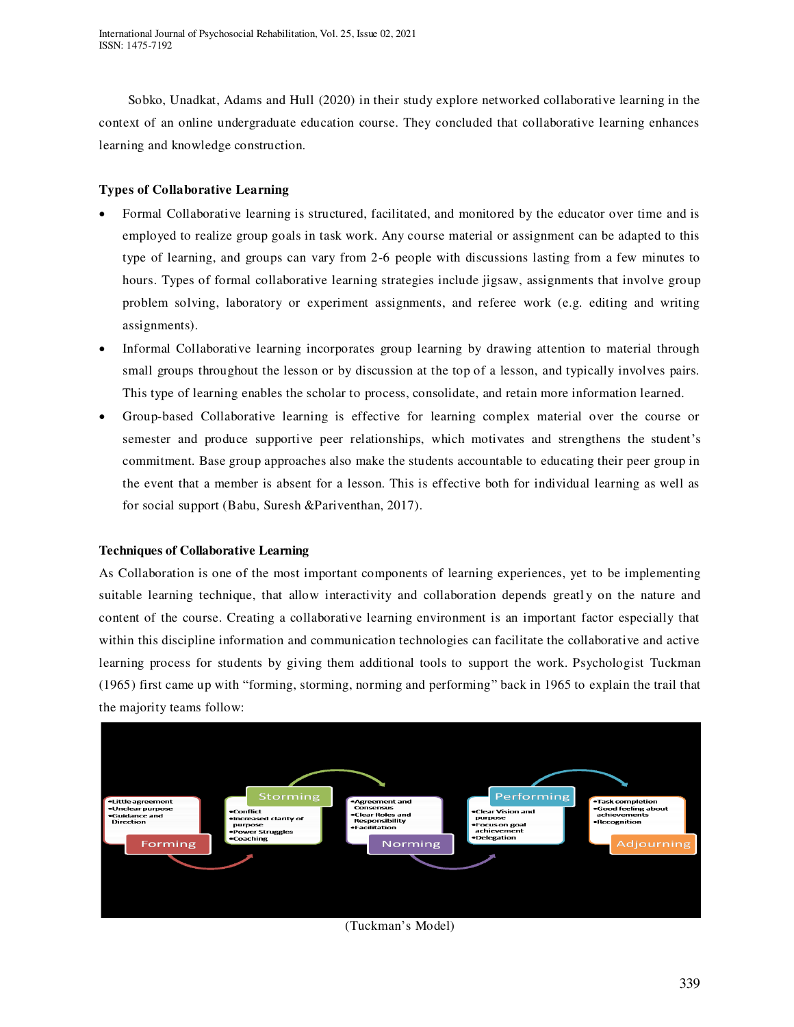Sobko, Unadkat, Adams and Hull (2020) in their study explore networked collaborative learning in the context of an online undergraduate education course. They concluded that collaborative learning enhances learning and knowledge construction.

# **Types of Collaborative Learning**

- Formal Collaborative learning is structured, facilitated, and monitored by the educator over time and is employed to realize group goals in task work. Any course material or assignment can be adapted to this type of learning, and groups can vary from 2-6 people with discussions lasting from a few minutes to hours. Types of formal collaborative learning strategies include jigsaw, assignments that involve group problem solving, laboratory or experiment assignments, and referee work (e.g. editing and writing assignments).
- Informal Collaborative learning incorporates group learning by drawing attention to material through small groups throughout the lesson or by discussion at the top of a lesson, and typically involves pairs. This type of learning enables the scholar to process, consolidate, and retain more information learned.
- Group-based Collaborative learning is effective for learning complex material over the course or semester and produce supportive peer relationships, which motivates and strengthens the student's commitment. Base group approaches also make the students accountable to educating their peer group in the event that a member is absent for a lesson. This is effective both for individual learning as well as for social support (Babu, Suresh &Pariventhan, 2017).

# **Techniques of Collaborative Learning**

As Collaboration is one of the most important components of learning experiences, yet to be implementing suitable learning technique, that allow interactivity and collaboration depends greatly on the nature and content of the course. Creating a collaborative learning environment is an important factor especially that within this discipline information and communication technologies can facilitate the collaborative and active learning process for students by giving them additional tools to support the work. Psychologist Tuckman (1965) first came up with "forming, storming, norming and performing" back in 1965 to explain the trail that the majority teams follow:



(Tuckman's Model)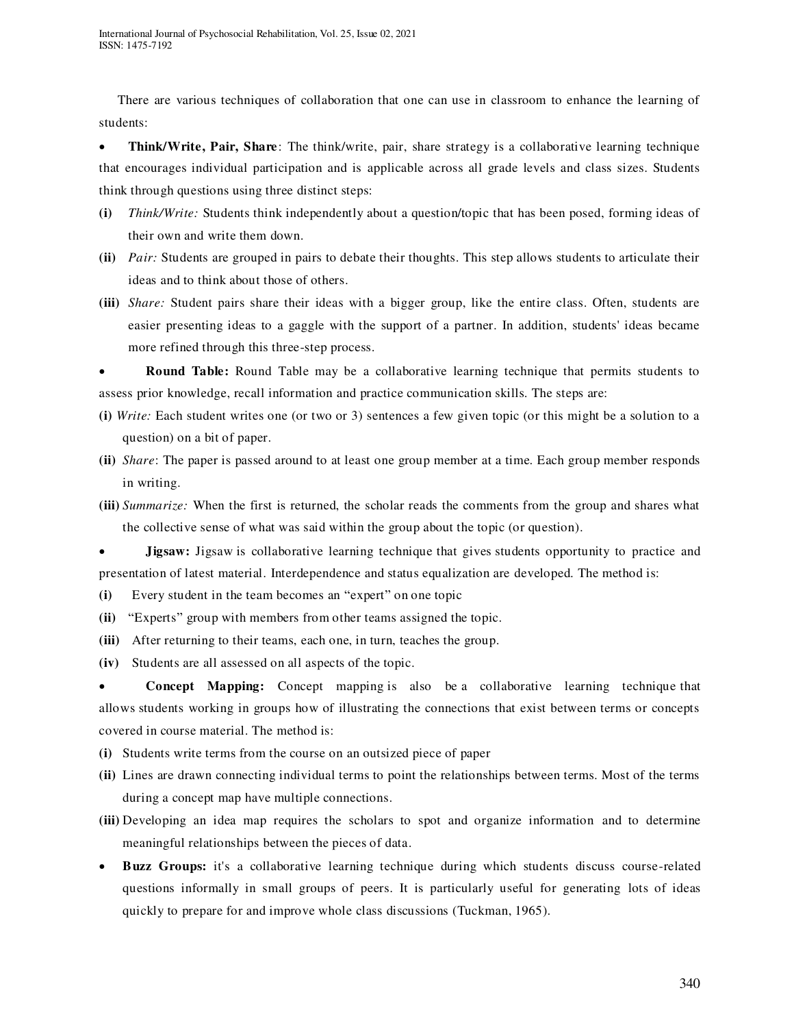There are various techniques of collaboration that one can use in classroom to enhance the learning of students:

 **Think/Write, Pair, Share**: The think/write, pair, share strategy is a collaborative learning technique that encourages individual participation and is applicable across all grade levels and class sizes. Students think through questions using three distinct steps:

- **(i)** *Think/Write:* Students think independently about a question/topic that has been posed, forming ideas of their own and write them down.
- **(ii)** *Pair:* Students are grouped in pairs to debate their thoughts. This step allows students to articulate their ideas and to think about those of others.
- **(iii)** *Share:* Student pairs share their ideas with a bigger group, like the entire class. Often, students are easier presenting ideas to a gaggle with the support of a partner. In addition, students' ideas became more refined through this three-step process.

 **Round Table:** Round Table may be a collaborative learning technique that permits students to assess prior knowledge, recall information and practice communication skills. The steps are:

- **(i)** *Write:* Each student writes one (or two or 3) sentences a few given topic (or this might be a solution to a question) on a bit of paper.
- **(ii)** *Share*: The paper is passed around to at least one group member at a time. Each group member responds in writing.
- **(iii)** *Summarize:* When the first is returned, the scholar reads the comments from the group and shares what the collective sense of what was said within the group about the topic (or question).

 **Jigsaw:** Jigsaw is collaborative learning technique that gives students opportunity to practice and presentation of latest material. Interdependence and status equalization are developed. The method is:

- **(i)** Every student in the team becomes an "expert" on one topic
- **(ii)** "Experts" group with members from other teams assigned the topic.
- **(iii)** After returning to their teams, each one, in turn, teaches the group.
- **(iv)** Students are all assessed on all aspects of the topic.

 **Concept Mapping:** Concept mapping is also be a collaborative learning technique that allows students working in groups how of illustrating the connections that exist between terms or concepts covered in course material. The method is:

- **(i)** Students write terms from the course on an outsized piece of paper
- **(ii)** Lines are drawn connecting individual terms to point the relationships between terms. Most of the terms during a concept map have multiple connections.
- **(iii)** Developing an idea map requires the scholars to spot and organize information and to determine meaningful relationships between the pieces of data.
- **Buzz Groups:** it's a collaborative learning technique during which students discuss course-related questions informally in small groups of peers. It is particularly useful for generating lots of ideas quickly to prepare for and improve whole class discussions (Tuckman, 1965).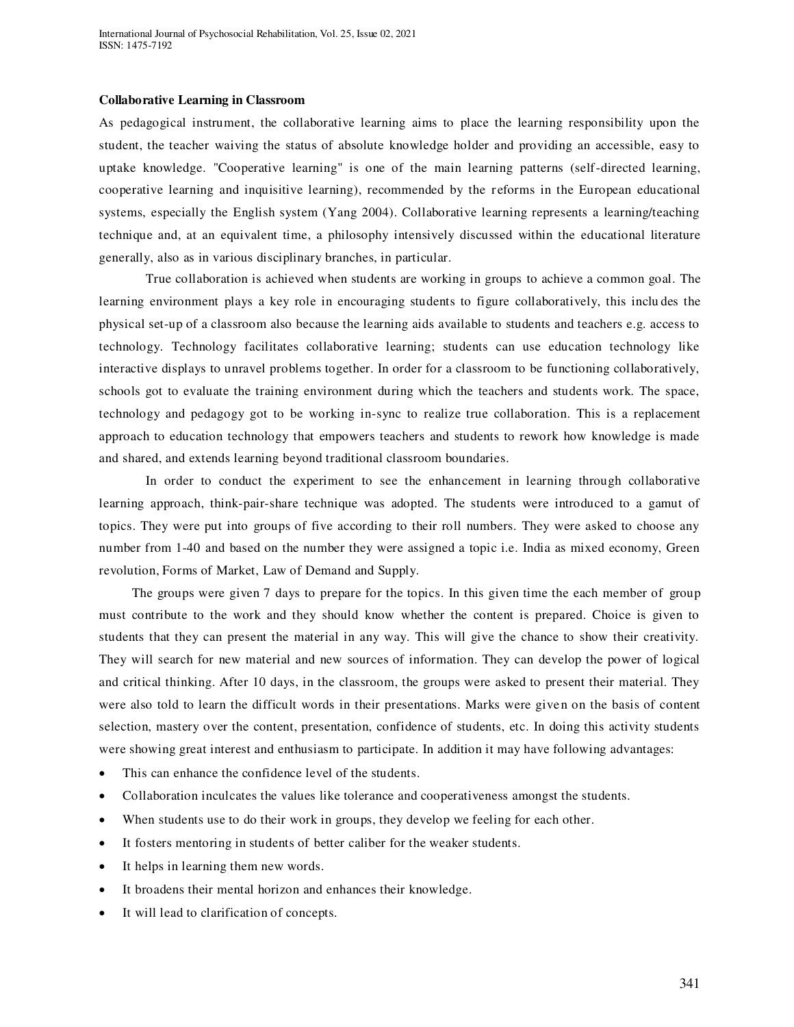# **Collaborative Learning in Classroom**

As pedagogical instrument, the collaborative learning aims to place the learning responsibility upon the student, the teacher waiving the status of absolute knowledge holder and providing an accessible, easy to uptake knowledge. "Cooperative learning" is one of the main learning patterns (self-directed learning, cooperative learning and inquisitive learning), recommended by the r eforms in the European educational systems, especially the English system (Yang 2004). Collaborative learning represents a learning/teaching technique and, at an equivalent time, a philosophy intensively discussed within the educational literature generally, also as in various disciplinary branches, in particular.

True collaboration is achieved when students are working in groups to achieve a common goal. The learning environment plays a key role in encouraging students to figure collaboratively, this inclu des the physical set-up of a classroom also because the learning aids available to students and teachers e.g. access to technology. Technology facilitates collaborative learning; students can use education technology like interactive displays to unravel problems together. In order for a classroom to be functioning collaboratively, schools got to evaluate the training environment during which the teachers and students work. The space, technology and pedagogy got to be working in-sync to realize true collaboration. This is a replacement approach to education technology that empowers teachers and students to rework how knowledge is made and shared, and extends learning beyond traditional classroom boundaries.

 In order to conduct the experiment to see the enhancement in learning through collaborative learning approach, think-pair-share technique was adopted. The students were introduced to a gamut of topics. They were put into groups of five according to their roll numbers. They were asked to choose any number from 1-40 and based on the number they were assigned a topic i.e. India as mixed economy, Green revolution, Forms of Market, Law of Demand and Supply.

 The groups were given 7 days to prepare for the topics. In this given time the each member of group must contribute to the work and they should know whether the content is prepared. Choice is given to students that they can present the material in any way. This will give the chance to show their creativity. They will search for new material and new sources of information. They can develop the power of logical and critical thinking. After 10 days, in the classroom, the groups were asked to present their material. They were also told to learn the difficult words in their presentations. Marks were give n on the basis of content selection, mastery over the content, presentation, confidence of students, etc. In doing this activity students were showing great interest and enthusiasm to participate. In addition it may have following advantages:

- This can enhance the confidence level of the students.
- Collaboration inculcates the values like tolerance and cooperativeness amongst the students.
- When students use to do their work in groups, they develop we feeling for each other.
- It fosters mentoring in students of better caliber for the weaker students.
- It helps in learning them new words.
- It broadens their mental horizon and enhances their knowledge.
- It will lead to clarification of concepts.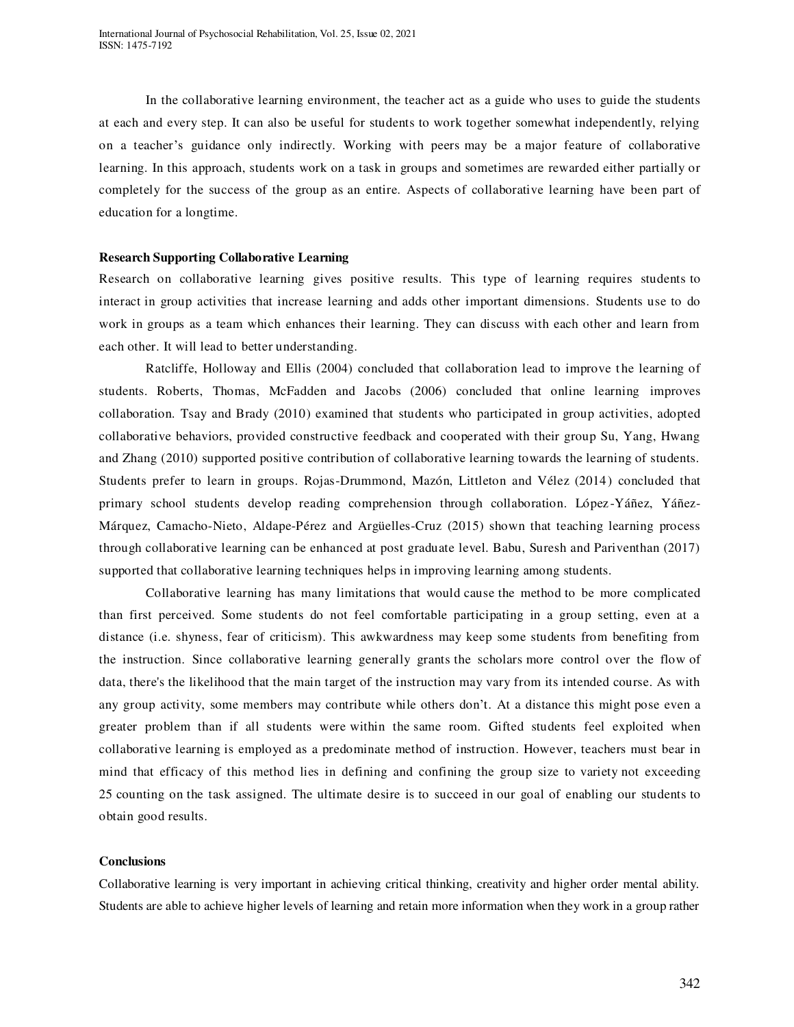In the collaborative learning environment, the teacher act as a guide who uses to guide the students at each and every step. It can also be useful for students to work together somewhat independently, relying on a teacher's guidance only indirectly. Working with peers may be a major feature of collaborative learning. In this approach, students work on a task in groups and sometimes are rewarded either partially or completely for the success of the group as an entire. Aspects of collaborative learning have been part of education for a longtime.

# **Research Supporting Collaborative Learning**

Research on collaborative learning gives positive results. This type of learning requires students to interact in group activities that increase learning and adds other important dimensions. Students use to do work in groups as a team which enhances their learning. They can discuss with each other and learn from each other. It will lead to better understanding.

Ratcliffe, Holloway and Ellis (2004) concluded that collaboration lead to improve the learning of students. Roberts, Thomas, McFadden and Jacobs (2006) concluded that online learning improves collaboration. Tsay and Brady (2010) examined that students who participated in group activities, adopted collaborative behaviors, provided constructive feedback and cooperated with their group Su, Yang, Hwang and Zhang (2010) supported positive contribution of collaborative learning towards the learning of students. Students prefer to learn in groups. Rojas-Drummond, Mazón, Littleton and Vélez (2014) concluded that primary school students develop reading comprehension through collaboration. López -Yáñez, Yáñez-Márquez, Camacho-Nieto, Aldape-Pérez and Argüelles-Cruz (2015) shown that teaching learning process through collaborative learning can be enhanced at post graduate level. Babu, Suresh and Pariventhan (2017) supported that collaborative learning techniques helps in improving learning among students.

Collaborative learning has many limitations that would cause the method to be more complicated than first perceived. Some students do not feel comfortable participating in a group setting, even at a distance (i.e. shyness, fear of criticism). This awkwardness may keep some students from benefiting from the instruction. Since collaborative learning generally grants the scholars more control over the flow of data, there's the likelihood that the main target of the instruction may vary from its intended course. As with any group activity, some members may contribute while others don't. At a distance this might pose even a greater problem than if all students were within the same room. Gifted students feel exploited when collaborative learning is employed as a predominate method of instruction. However, teachers must bear in mind that efficacy of this method lies in defining and confining the group size to variety not exceeding 25 counting on the task assigned. The ultimate desire is to succeed in our goal of enabling our students to obtain good results.

#### **Conclusions**

Collaborative learning is very important in achieving critical thinking, creativity and higher order mental ability. Students are able to achieve higher levels of learning and retain more information when they work in a group rather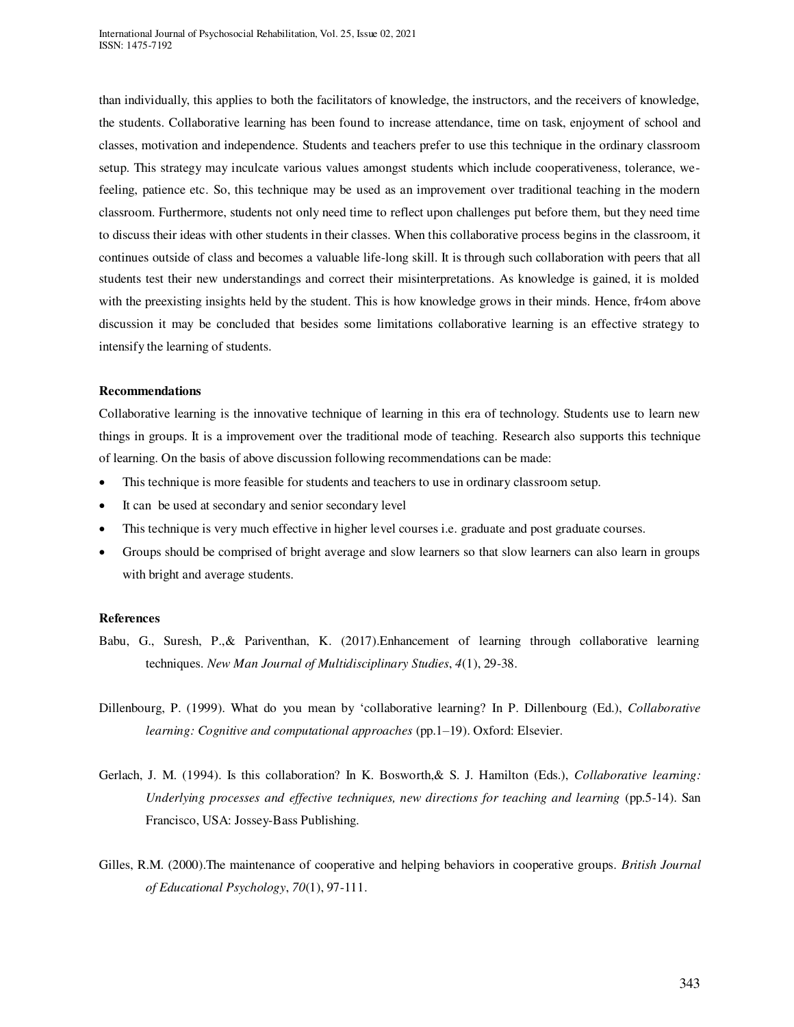than individually, this applies to both the facilitators of knowledge, the instructors, and the receivers of knowledge, the students. Collaborative learning has been found to increase attendance, time on task, enjoyment of school and classes, motivation and independence. Students and teachers prefer to use this technique in the ordinary classroom setup. This strategy may inculcate various values amongst students which include cooperativeness, tolerance, wefeeling, patience etc. So, this technique may be used as an improvement over traditional teaching in the modern classroom. Furthermore, students not only need time to reflect upon challenges put before them, but they need time to discuss their ideas with other students in their classes. When this collaborative process begins in the classroom, it continues outside of class and becomes a valuable life-long skill. It is through such collaboration with peers that all students test their new understandings and correct their misinterpretations. As knowledge is gained, it is molded with the preexisting insights held by the student. This is how knowledge grows in their minds. Hence, fr4om above discussion it may be concluded that besides some limitations collaborative learning is an effective strategy to intensify the learning of students.

# **Recommendations**

Collaborative learning is the innovative technique of learning in this era of technology. Students use to learn new things in groups. It is a improvement over the traditional mode of teaching. Research also supports this technique of learning. On the basis of above discussion following recommendations can be made:

- This technique is more feasible for students and teachers to use in ordinary classroom setup.
- It can be used at secondary and senior secondary level
- This technique is very much effective in higher level courses i.e. graduate and post graduate courses.
- Groups should be comprised of bright average and slow learners so that slow learners can also learn in groups with bright and average students.

# **References**

- Babu, G., Suresh, P.,& Pariventhan, K. (2017).Enhancement of learning through collaborative learning techniques. *New Man Journal of Multidisciplinary Studies*, *4*(1), 29-38.
- Dillenbourg, P. (1999). What do you mean by 'collaborative learning? In P. Dillenbourg (Ed.), *Collaborative learning: Cognitive and computational approaches* (pp.1–19). Oxford: Elsevier.
- Gerlach, J. M. (1994). Is this collaboration? In K. Bosworth,& S. J. Hamilton (Eds.), *Collaborative learning: Underlying processes and effective techniques, new directions for teaching and learning* (pp.5-14). San Francisco, USA: Jossey-Bass Publishing.
- Gilles, R.M. (2000).The maintenance of cooperative and helping behaviors in cooperative groups*. British Journal of Educational Psychology*, *70*(1), 97-111.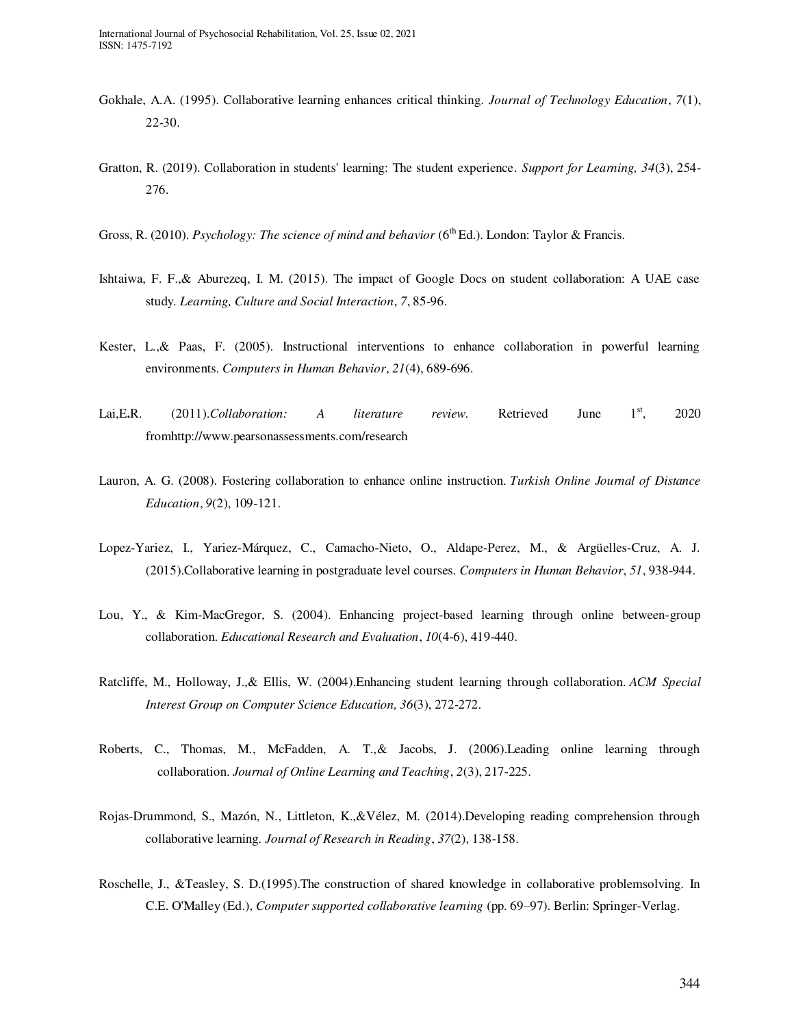- Gokhale, A.A. (1995). Collaborative learning enhances critical thinking. *Journal of Technology Education*, *7*(1), 22-30.
- Gratton, R. (2019). Collaboration in students' learning: The student experience. *Support for Learning, 34*(3), 254- 276.
- Gross, R. (2010). *Psychology: The science of mind and behavior* (6<sup>th</sup> Ed.). London: Taylor & Francis.
- Ishtaiwa, F. F.,& Aburezeq, I. M. (2015). The impact of Google Docs on student collaboration: A UAE case study. *Learning, Culture and Social Interaction*, *7*, 85-96.
- Kester, L.,& Paas, F. (2005). Instructional interventions to enhance collaboration in powerful learning environments. *Computers in Human Behavior*, *21*(4), 689-696.
- Lai,E.R. (2011).*Collaboration:* A literature review. Retrieved June 1<sup>st</sup>, 2020 fro[mhttp://www.pearsonassessments.com/research](http://www.pearsonassessments.com/research)
- Lauron, A. G. (2008). Fostering collaboration to enhance online instruction. *Turkish Online Journal of Distance Education*, *9*(2), 109-121.
- Lopez-Yariez, I., Yariez-Márquez, C., Camacho-Nieto, O., Aldape-Perez, M., & Argüelles-Cruz, A. J. (2015).Collaborative learning in postgraduate level courses. *Computers in Human Behavior*, *51*, 938-944.
- Lou, Y., & Kim-MacGregor, S. (2004). Enhancing project-based learning through online between-group collaboration. *Educational Research and Evaluation*, *10*(4-6), 419-440.
- Ratcliffe, M., Holloway, J.,& Ellis, W. (2004).Enhancing student learning through collaboration. *ACM Special Interest Group on Computer Science Education, 36*(3), 272-272.
- Roberts, C., Thomas, M., McFadden, A. T.,& Jacobs, J. (2006).Leading online learning through collaboration. *Journal of Online Learning and Teaching*, *2*(3), 217-225.
- Rojas-Drummond, S., Mazón, N., Littleton, K.,&Vélez, M. (2014).Developing reading comprehension through collaborative learning. *Journal of Research in Reading*, *37*(2), 138-158.
- Roschelle, J., &Teasley, S. D.(1995).The construction of shared knowledge in collaborative problemsolving. In C.E. O'Malley (Ed.), *Computer supported collaborative learning* (pp. 69–97). Berlin: Springer-Verlag.